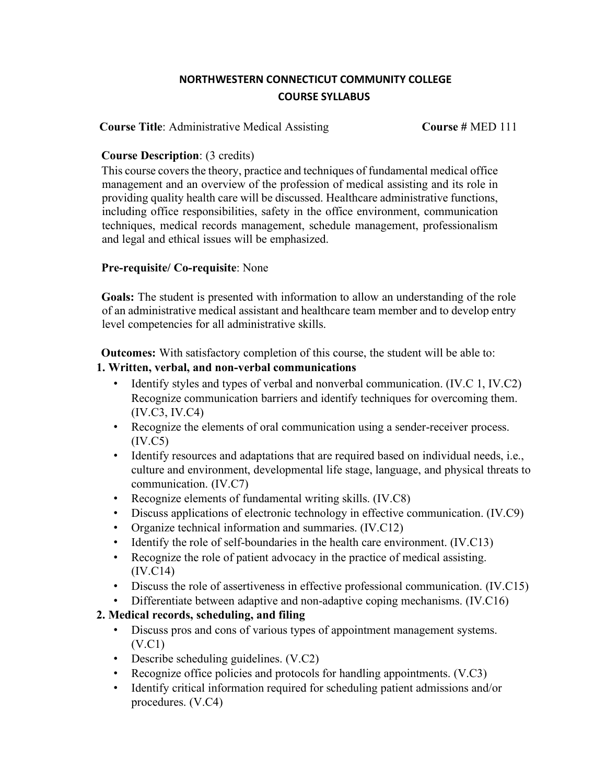### **NORTHWESTERN CONNECTICUT COMMUNITY COLLEGE COURSE SYLLABUS**

**Course Title**: Administrative Medical Assisting **Course #** MED 111

#### **Course Description**: (3 credits)

This course covers the theory, practice and techniques of fundamental medical office management and an overview of the profession of medical assisting and its role in providing quality health care will be discussed. Healthcare administrative functions, including office responsibilities, safety in the office environment, communication techniques, medical records management, schedule management, professionalism and legal and ethical issues will be emphasized.

#### **Pre-requisite/ Co-requisite**: None

**Goals:** The student is presented with information to allow an understanding of the role of an administrative medical assistant and healthcare team member and to develop entry level competencies for all administrative skills.

**Outcomes:** With satisfactory completion of this course, the student will be able to:

#### **1. Written, verbal, and non-verbal communications**

- Identify styles and types of verbal and nonverbal communication. (IV.C 1, IV.C2) Recognize communication barriers and identify techniques for overcoming them. (IV.C3, IV.C4)
- Recognize the elements of oral communication using a sender-receiver process. (IV.C5)
- Identify resources and adaptations that are required based on individual needs, i.e., culture and environment, developmental life stage, language, and physical threats to communication. (IV.C7)
- Recognize elements of fundamental writing skills. (IV.C8)
- Discuss applications of electronic technology in effective communication. (IV.C9)
- Organize technical information and summaries. (IV.C12)
- Identify the role of self-boundaries in the health care environment. (IV.C13)
- Recognize the role of patient advocacy in the practice of medical assisting. (IV.C14)
- Discuss the role of assertiveness in effective professional communication. (IV.C15)
- Differentiate between adaptive and non-adaptive coping mechanisms. (IV.C16)

### **2. Medical records, scheduling, and filing**

- Discuss pros and cons of various types of appointment management systems. (V.C1)
- Describe scheduling guidelines. (V.C2)
- Recognize office policies and protocols for handling appointments. (V.C3)
- Identify critical information required for scheduling patient admissions and/or procedures. (V.C4)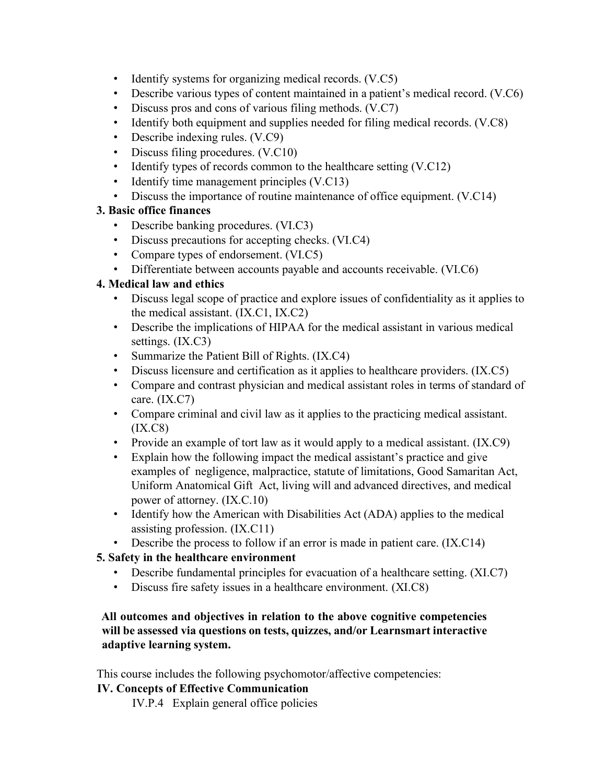- Identify systems for organizing medical records. (V.C5)
- Describe various types of content maintained in a patient's medical record. (V.C6)
- Discuss pros and cons of various filing methods. (V.C7)
- Identify both equipment and supplies needed for filing medical records. (V.C8)
- Describe indexing rules. (V.C9)
- Discuss filing procedures. (V.C10)
- Identify types of records common to the healthcare setting (V.C12)
- Identify time management principles (V.C13)
- Discuss the importance of routine maintenance of office equipment. (V.C14)

### **3. Basic office finances**

- Describe banking procedures. (VI.C3)
- Discuss precautions for accepting checks. (VI.C4)
- Compare types of endorsement. (VI.C5)
- Differentiate between accounts payable and accounts receivable. (VI.C6)

# **4. Medical law and ethics**

- Discuss legal scope of practice and explore issues of confidentiality as it applies to the medical assistant. (IX.C1, IX.C2)
- Describe the implications of HIPAA for the medical assistant in various medical settings. (IX.C3)
- Summarize the Patient Bill of Rights. (IX.C4)
- Discuss licensure and certification as it applies to healthcare providers. (IX.C5)
- Compare and contrast physician and medical assistant roles in terms of standard of care. (IX.C7)
- Compare criminal and civil law as it applies to the practicing medical assistant. (IX.C8)
- Provide an example of tort law as it would apply to a medical assistant. (IX.C9)
- Explain how the following impact the medical assistant's practice and give examples of negligence, malpractice, statute of limitations, Good Samaritan Act, Uniform Anatomical Gift Act, living will and advanced directives, and medical power of attorney. (IX.C.10)
- Identify how the American with Disabilities Act (ADA) applies to the medical assisting profession. (IX.C11)
- Describe the process to follow if an error is made in patient care. (IX.C14)

# **5. Safety in the healthcare environment**

- Describe fundamental principles for evacuation of a healthcare setting. (XI.C7)
- Discuss fire safety issues in a healthcare environment. (XI.C8)

#### **All outcomes and objectives in relation to the above cognitive competencies will be assessed via questions on tests, quizzes, and/or Learnsmart interactive adaptive learning system.**

This course includes the following psychomotor/affective competencies:

### **IV. Concepts of Effective Communication**

IV.P.4 Explain general office policies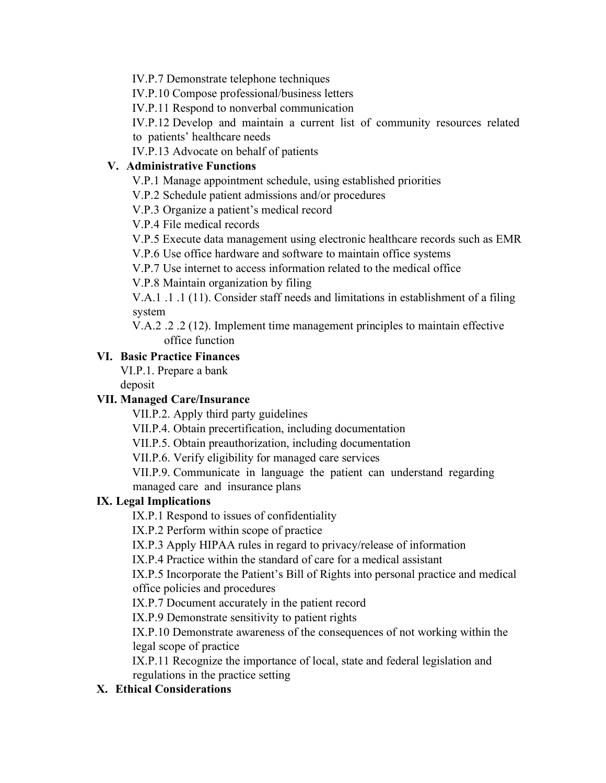IV.P.7 Demonstrate telephone techniques

IV.P.10 Compose professional/business letters

IV.P.11 Respond to nonverbal communication

IV.P.12 Develop and maintain a current list of community resources related to patients' healthcare needs

IV.P.13 Advocate on behalf of patients

### **V. Administrative Functions**

V.P.1 Manage appointment schedule, using established priorities

V.P.2 Schedule patient admissions and/or procedures

V.P.3 Organize a patient's medical record

V.P.4 File medical records

V.P.5 Execute data management using electronic healthcare records such as EMR

V.P.6 Use office hardware and software to maintain office systems

V.P.7 Use internet to access information related to the medical office

V.P.8 Maintain organization by filing

V.A.1 .1 .1 (11). Consider staff needs and limitations in establishment of a filing system

V.A.2 .2 .2 (12). Implement time management principles to maintain effective office function

### **VI. Basic Practice Finances**

VI.P.1. Prepare a bank

deposit

# **VII. Managed Care/Insurance**

VII.P.2. Apply third party guidelines

VII.P.4. Obtain precertification, including documentation

VII.P.5. Obtain preauthorization, including documentation

VII.P.6. Verify eligibility for managed care services

VII.P.9. Communicate in language the patient can understand regarding managed care and insurance plans

# **IX. Legal Implications**

IX.P.1 Respond to issues of confidentiality

IX.P.2 Perform within scope of practice

IX.P.3 Apply HIPAA rules in regard to privacy/release of information

IX.P.4 Practice within the standard of care for a medical assistant

IX.P.5 Incorporate the Patient's Bill of Rights into personal practice and medical office policies and procedures

IX.P.7 Document accurately in the patient record

IX.P.9 Demonstrate sensitivity to patient rights

IX.P.10 Demonstrate awareness of the consequences of not working within the legal scope of practice

IX.P.11 Recognize the importance of local, state and federal legislation and regulations in the practice setting

# **X. Ethical Considerations**